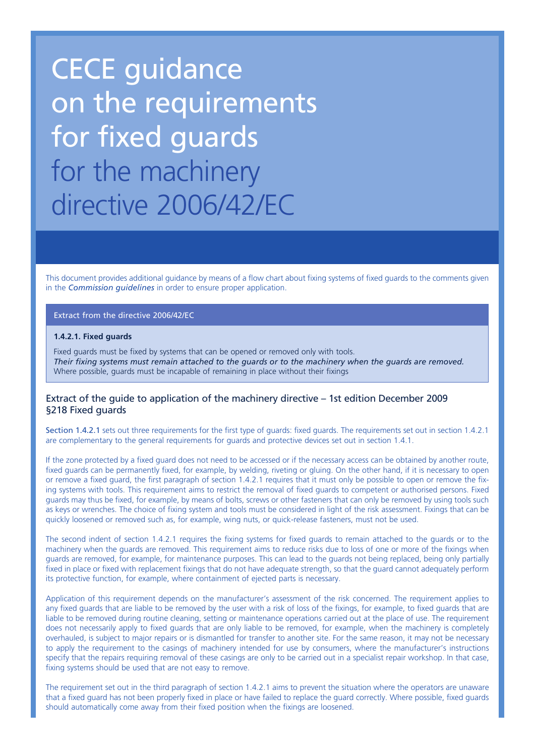# CECE guidance on the requirements for fixed guards for the machinery directive 2006/42/EC

This document provides additional guidance by means of a flow chart about fixing systems of fixed guards to the comments given in the *Commission guidelines* in order to ensure proper application.

#### Extract from the directive 2006/42/EC

#### **1.4.2.1. Fixed guards**

Fixed guards must be fixed by systems that can be opened or removed only with tools. *Their fixing systems must remain attached to the guards or to the machinery when the guards are removed.* Where possible, guards must be incapable of remaining in place without their fixings

### Extract of the guide to application of the machinery directive – 1st edition December 2009 §218 Fixed guards

Section 1.4.2.1 sets out three requirements for the first type of guards: fixed guards. The requirements set out in section 1.4.2.1 are complementary to the general requirements for guards and protective devices set out in section 1.4.1.

If the zone protected by a fixed guard does not need to be accessed or if the necessary access can be obtained by another route, fixed guards can be permanently fixed, for example, by welding, riveting or gluing. On the other hand, if it is necessary to open or remove a fixed guard, the first paragraph of section 1.4.2.1 requires that it must only be possible to open or remove the fixing systems with tools. This requirement aims to restrict the removal of fixed guards to competent or authorised persons. Fixed guards may thus be fixed, for example, by means of bolts, screws or other fasteners that can only be removed by using tools such as keys or wrenches. The choice of fixing system and tools must be considered in light of the risk assessment. Fixings that can be quickly loosened or removed such as, for example, wing nuts, or quick-release fasteners, must not be used.

The second indent of section 1.4.2.1 requires the fixing systems for fixed guards to remain attached to the guards or to the machinery when the guards are removed. This requirement aims to reduce risks due to loss of one or more of the fixings when guards are removed, for example, for maintenance purposes. This can lead to the guards not being replaced, being only partially fixed in place or fixed with replacement fixings that do not have adequate strength, so that the guard cannot adequately perform its protective function, for example, where containment of ejected parts is necessary.

Application of this requirement depends on the manufacturer's assessment of the risk concerned. The requirement applies to any fixed guards that are liable to be removed by the user with a risk of loss of the fixings, for example, to fixed guards that are liable to be removed during routine cleaning, setting or maintenance operations carried out at the place of use. The requirement does not necessarily apply to fixed guards that are only liable to be removed, for example, when the machinery is completely overhauled, is subject to major repairs or is dismantled for transfer to another site. For the same reason, it may not be necessary to apply the requirement to the casings of machinery intended for use by consumers, where the manufacturer's instructions specify that the repairs requiring removal of these casings are only to be carried out in a specialist repair workshop. In that case, fixing systems should be used that are not easy to remove.

The requirement set out in the third paragraph of section 1.4.2.1 aims to prevent the situation where the operators are unaware that a fixed guard has not been properly fixed in place or have failed to replace the guard correctly. Where possible, fixed guards should automatically come away from their fixed position when the fixings are loosened.